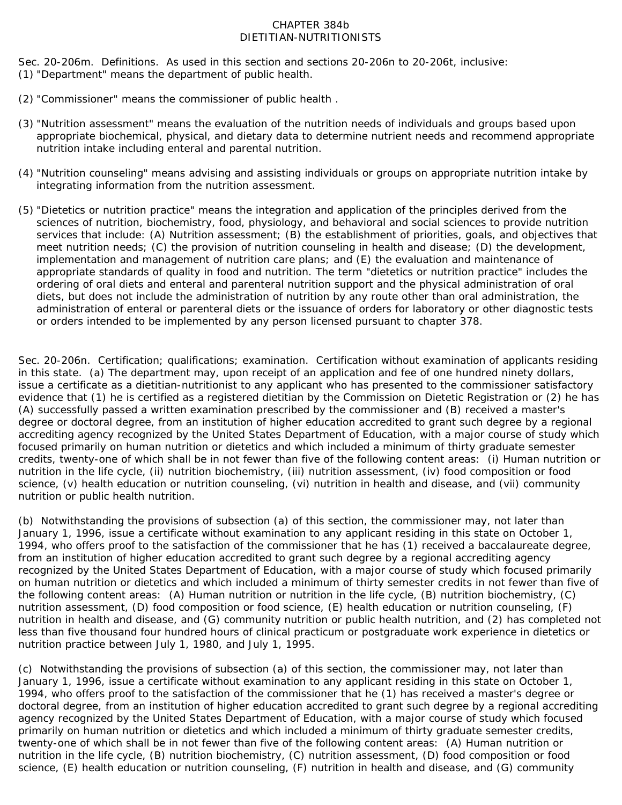## CHAPTER 384b DIETITIAN-NUTRITIONISTS

Sec. 20-206m. Definitions. As used in this section and sections 20-206n to 20-206t, inclusive: (1) "Department" means the department of public health.

- (2) "Commissioner" means the commissioner of public health .
- (3) "Nutrition assessment" means the evaluation of the nutrition needs of individuals and groups based upon appropriate biochemical, physical, and dietary data to determine nutrient needs and recommend appropriate nutrition intake including enteral and parental nutrition.
- (4) "Nutrition counseling" means advising and assisting individuals or groups on appropriate nutrition intake by integrating information from the nutrition assessment.
- (5) "Dietetics or nutrition practice" means the integration and application of the principles derived from the sciences of nutrition, biochemistry, food, physiology, and behavioral and social sciences to provide nutrition services that include: (A) Nutrition assessment; (B) the establishment of priorities, goals, and objectives that meet nutrition needs; (C) the provision of nutrition counseling in health and disease; (D) the development, implementation and management of nutrition care plans; and (E) the evaluation and maintenance of appropriate standards of quality in food and nutrition. The term "dietetics or nutrition practice" includes the ordering of oral diets and enteral and parenteral nutrition support and the physical administration of oral diets, but does not include the administration of nutrition by any route other than oral administration, the administration of enteral or parenteral diets or the issuance of orders for laboratory or other diagnostic tests or orders intended to be implemented by any person licensed pursuant to chapter 378.

Sec. 20-206n. Certification; qualifications; examination. Certification without examination of applicants residing in this state. (a) The department may, upon receipt of an application and fee of one hundred ninety dollars, issue a certificate as a dietitian-nutritionist to any applicant who has presented to the commissioner satisfactory evidence that (1) he is certified as a registered dietitian by the Commission on Dietetic Registration or (2) he has (A) successfully passed a written examination prescribed by the commissioner and (B) received a master's degree or doctoral degree, from an institution of higher education accredited to grant such degree by a regional accrediting agency recognized by the United States Department of Education, with a major course of study which focused primarily on human nutrition or dietetics and which included a minimum of thirty graduate semester credits, twenty-one of which shall be in not fewer than five of the following content areas: (i) Human nutrition or nutrition in the life cycle, (ii) nutrition biochemistry, (iii) nutrition assessment, (iv) food composition or food science, (v) health education or nutrition counseling, (vi) nutrition in health and disease, and (vii) community nutrition or public health nutrition.

(b) Notwithstanding the provisions of subsection (a) of this section, the commissioner may, not later than January 1, 1996, issue a certificate without examination to any applicant residing in this state on October 1, 1994, who offers proof to the satisfaction of the commissioner that he has (1) received a baccalaureate degree, from an institution of higher education accredited to grant such degree by a regional accrediting agency recognized by the United States Department of Education, with a major course of study which focused primarily on human nutrition or dietetics and which included a minimum of thirty semester credits in not fewer than five of the following content areas: (A) Human nutrition or nutrition in the life cycle, (B) nutrition biochemistry, (C) nutrition assessment, (D) food composition or food science, (E) health education or nutrition counseling, (F) nutrition in health and disease, and (G) community nutrition or public health nutrition, and (2) has completed not less than five thousand four hundred hours of clinical practicum or postgraduate work experience in dietetics or nutrition practice between July 1, 1980, and July 1, 1995.

(c) Notwithstanding the provisions of subsection (a) of this section, the commissioner may, not later than January 1, 1996, issue a certificate without examination to any applicant residing in this state on October 1, 1994, who offers proof to the satisfaction of the commissioner that he (1) has received a master's degree or doctoral degree, from an institution of higher education accredited to grant such degree by a regional accrediting agency recognized by the United States Department of Education, with a major course of study which focused primarily on human nutrition or dietetics and which included a minimum of thirty graduate semester credits, twenty-one of which shall be in not fewer than five of the following content areas: (A) Human nutrition or nutrition in the life cycle, (B) nutrition biochemistry, (C) nutrition assessment, (D) food composition or food science, (E) health education or nutrition counseling, (F) nutrition in health and disease, and (G) community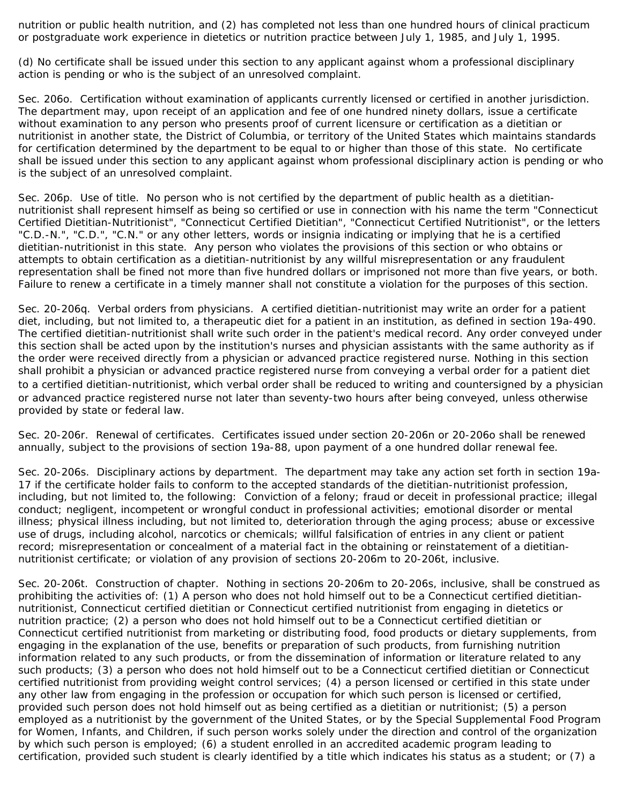nutrition or public health nutrition, and (2) has completed not less than one hundred hours of clinical practicum or postgraduate work experience in dietetics or nutrition practice between July 1, 1985, and July 1, 1995.

(d) No certificate shall be issued under this section to any applicant against whom a professional disciplinary action is pending or who is the subject of an unresolved complaint.

Sec. 206o. Certification without examination of applicants currently licensed or certified in another jurisdiction. The department may, upon receipt of an application and fee of one hundred ninety dollars, issue a certificate without examination to any person who presents proof of current licensure or certification as a dietitian or nutritionist in another state, the District of Columbia, or territory of the United States which maintains standards for certification determined by the department to be equal to or higher than those of this state. No certificate shall be issued under this section to any applicant against whom professional disciplinary action is pending or who is the subject of an unresolved complaint.

Sec. 206p. Use of title. No person who is not certified by the department of public health as a dietitiannutritionist shall represent himself as being so certified or use in connection with his name the term "Connecticut Certified Dietitian-Nutritionist", "Connecticut Certified Dietitian", "Connecticut Certified Nutritionist", or the letters "C.D.-N.", "C.D.", "C.N." or any other letters, words or insignia indicating or implying that he is a certified dietitian-nutritionist in this state. Any person who violates the provisions of this section or who obtains or attempts to obtain certification as a dietitian-nutritionist by any willful misrepresentation or any fraudulent representation shall be fined not more than five hundred dollars or imprisoned not more than five years, or both. Failure to renew a certificate in a timely manner shall not constitute a violation for the purposes of this section.

Sec. 20-206q. Verbal orders from physicians. A certified dietitian-nutritionist may write an order for a patient diet, including, but not limited to, a therapeutic diet for a patient in an institution, as defined in section 19a-490. The certified dietitian-nutritionist shall write such order in the patient's medical record. Any order conveyed under this section shall be acted upon by the institution's nurses and physician assistants with the same authority as if the order were received directly from a physician or advanced practice registered nurse. Nothing in this section shall prohibit a physician or advanced practice registered nurse from conveying a verbal order for a patient diet to a certified dietitian-nutritionist, which verbal order shall be reduced to writing and countersigned by a physician or advanced practice registered nurse not later than seventy-two hours after being conveyed, unless otherwise provided by state or federal law.

Sec. 20-206r. Renewal of certificates. Certificates issued under section 20-206n or 20-206o shall be renewed annually, subject to the provisions of section 19a-88, upon payment of a one hundred dollar renewal fee.

Sec. 20-206s. Disciplinary actions by department. The department may take any action set forth in section 19a-17 if the certificate holder fails to conform to the accepted standards of the dietitian-nutritionist profession, including, but not limited to, the following: Conviction of a felony; fraud or deceit in professional practice; illegal conduct; negligent, incompetent or wrongful conduct in professional activities; emotional disorder or mental illness; physical illness including, but not limited to, deterioration through the aging process; abuse or excessive use of drugs, including alcohol, narcotics or chemicals; willful falsification of entries in any client or patient record; misrepresentation or concealment of a material fact in the obtaining or reinstatement of a dietitiannutritionist certificate; or violation of any provision of sections 20-206m to 20-206t, inclusive.

Sec. 20-206t. Construction of chapter. Nothing in sections 20-206m to 20-206s, inclusive, shall be construed as prohibiting the activities of: (1) A person who does not hold himself out to be a Connecticut certified dietitiannutritionist, Connecticut certified dietitian or Connecticut certified nutritionist from engaging in dietetics or nutrition practice; (2) a person who does not hold himself out to be a Connecticut certified dietitian or Connecticut certified nutritionist from marketing or distributing food, food products or dietary supplements, from engaging in the explanation of the use, benefits or preparation of such products, from furnishing nutrition information related to any such products, or from the dissemination of information or literature related to any such products; (3) a person who does not hold himself out to be a Connecticut certified dietitian or Connecticut certified nutritionist from providing weight control services; (4) a person licensed or certified in this state under any other law from engaging in the profession or occupation for which such person is licensed or certified, provided such person does not hold himself out as being certified as a dietitian or nutritionist; (5) a person employed as a nutritionist by the government of the United States, or by the Special Supplemental Food Program for Women, Infants, and Children, if such person works solely under the direction and control of the organization by which such person is employed; (6) a student enrolled in an accredited academic program leading to certification, provided such student is clearly identified by a title which indicates his status as a student; or (7) a